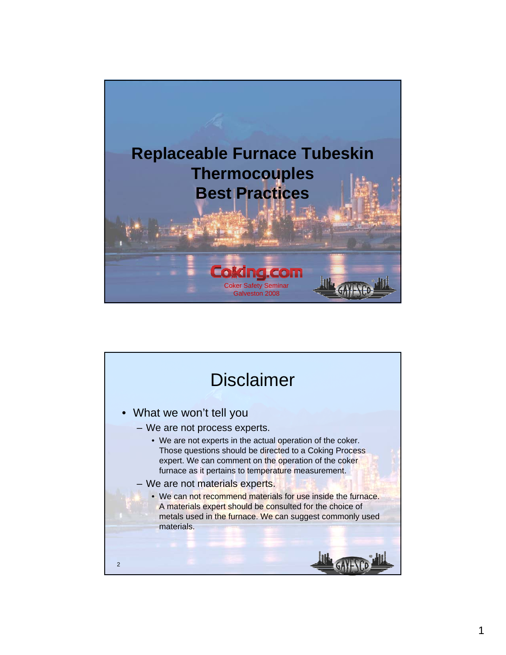

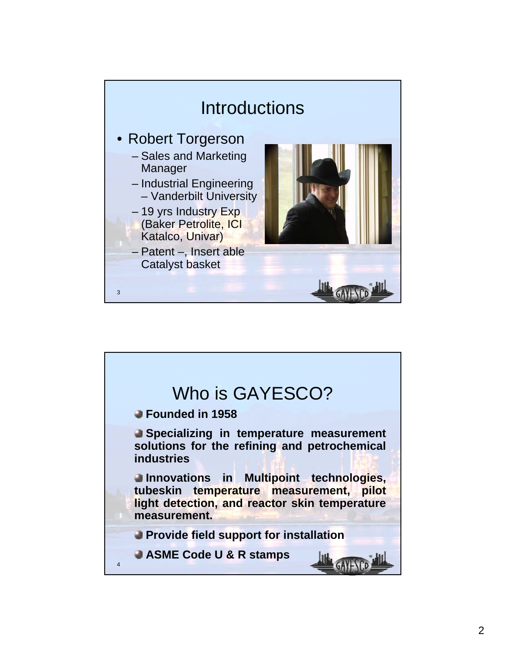

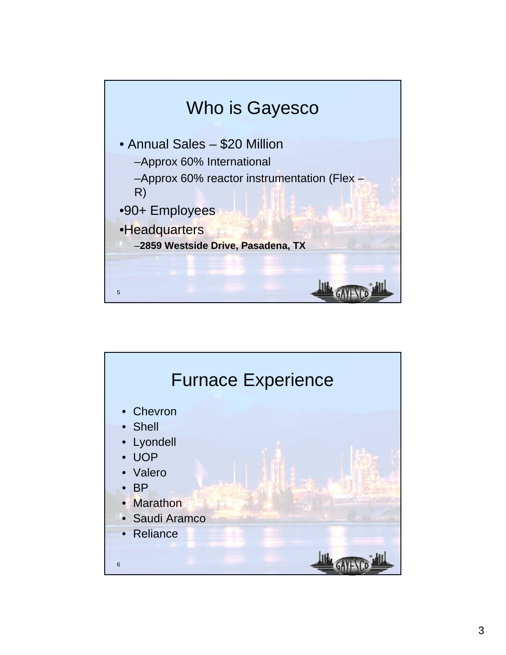

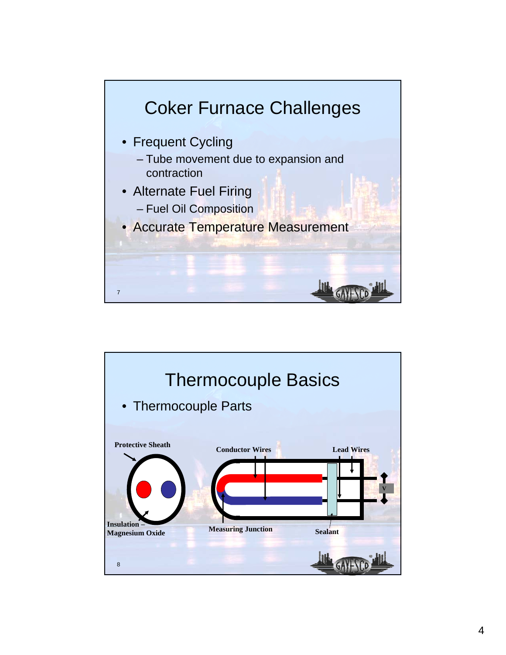

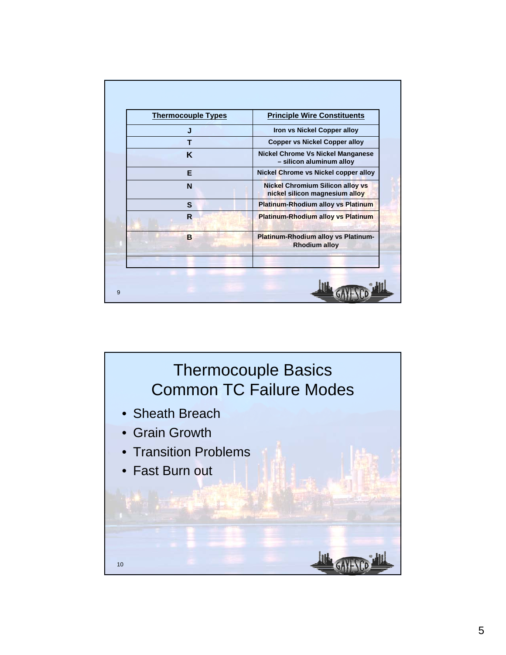| Iron vs Nickel Copper alloy<br>J<br><b>Copper vs Nickel Copper alloy</b><br>т<br><b>Nickel Chrome Vs Nickel Manganese</b><br>K<br>- silicon aluminum alloy<br>Nickel Chrome vs Nickel copper alloy<br>Е<br><b>Nickel Chromium Silicon alloy vs</b><br>N<br>nickel silicon magnesium alloy<br><b>Platinum-Rhodium alloy vs Platinum</b><br>S<br><b>Platinum-Rhodium alloy vs Platinum</b><br>$\mathsf{R}$<br>Platinum-Rhodium alloy vs Platinum-<br>B<br><b>Rhodium alloy</b> | <b>Thermocouple Types</b> | <b>Principle Wire Constituents</b> |
|------------------------------------------------------------------------------------------------------------------------------------------------------------------------------------------------------------------------------------------------------------------------------------------------------------------------------------------------------------------------------------------------------------------------------------------------------------------------------|---------------------------|------------------------------------|
|                                                                                                                                                                                                                                                                                                                                                                                                                                                                              |                           |                                    |
|                                                                                                                                                                                                                                                                                                                                                                                                                                                                              |                           |                                    |
|                                                                                                                                                                                                                                                                                                                                                                                                                                                                              |                           |                                    |
|                                                                                                                                                                                                                                                                                                                                                                                                                                                                              |                           |                                    |
|                                                                                                                                                                                                                                                                                                                                                                                                                                                                              |                           |                                    |
|                                                                                                                                                                                                                                                                                                                                                                                                                                                                              |                           |                                    |
|                                                                                                                                                                                                                                                                                                                                                                                                                                                                              |                           |                                    |
|                                                                                                                                                                                                                                                                                                                                                                                                                                                                              |                           |                                    |

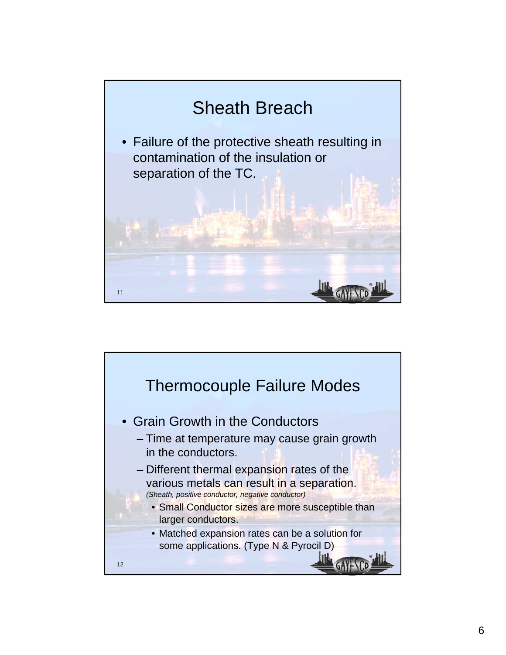

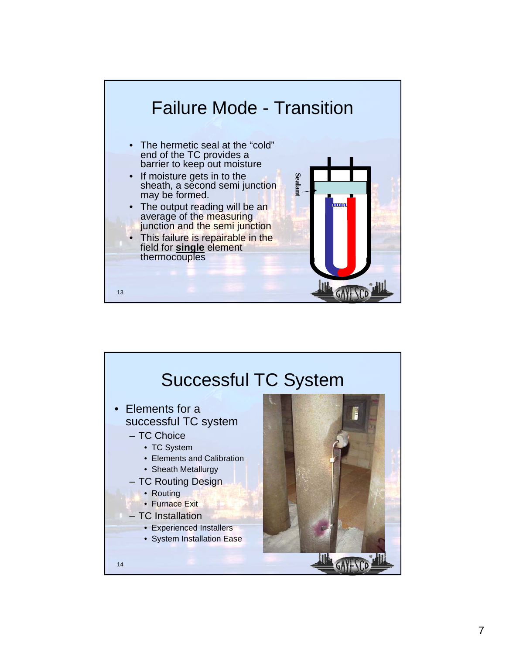

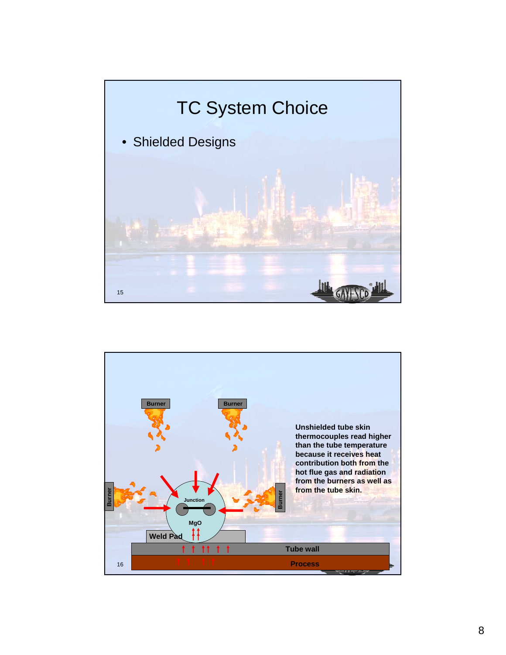

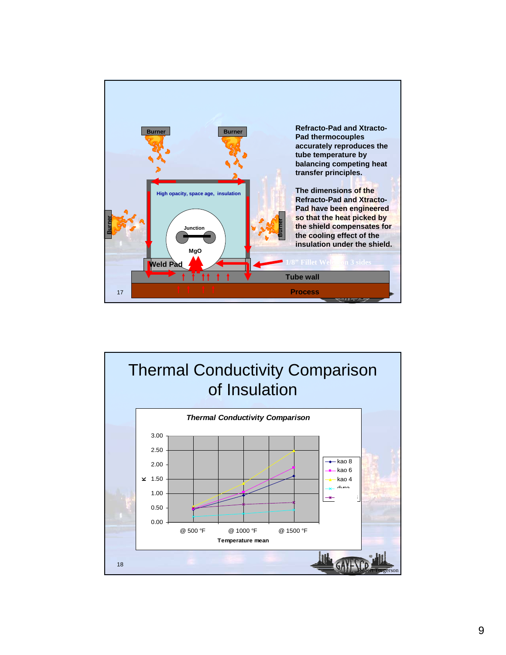

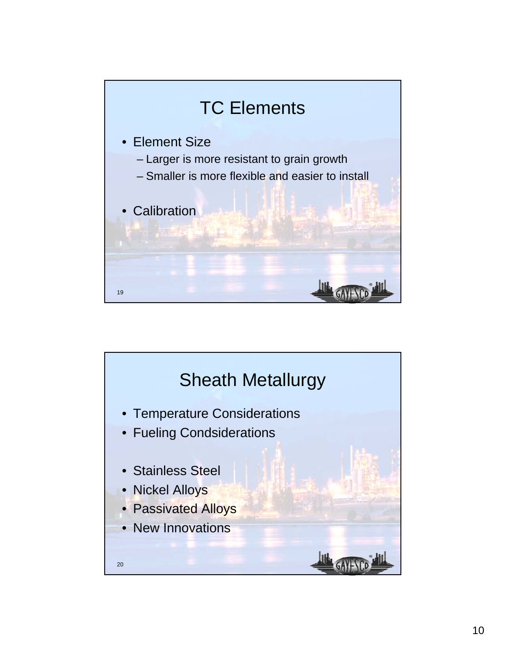

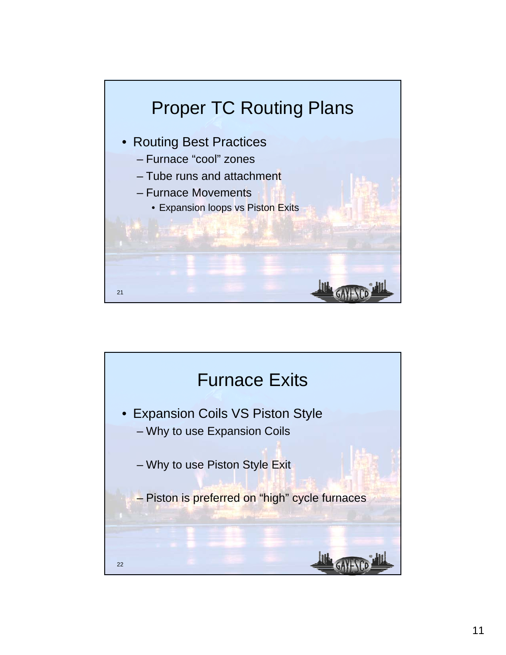

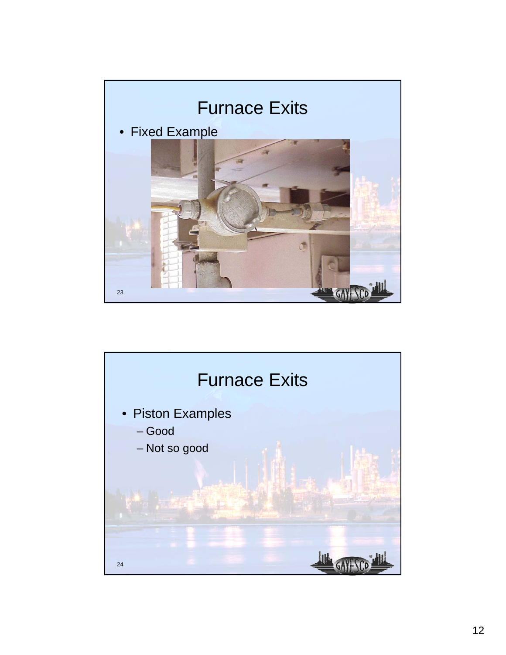

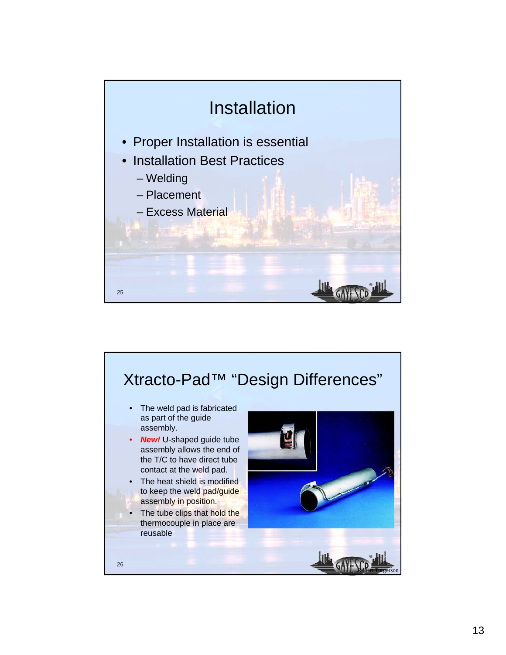